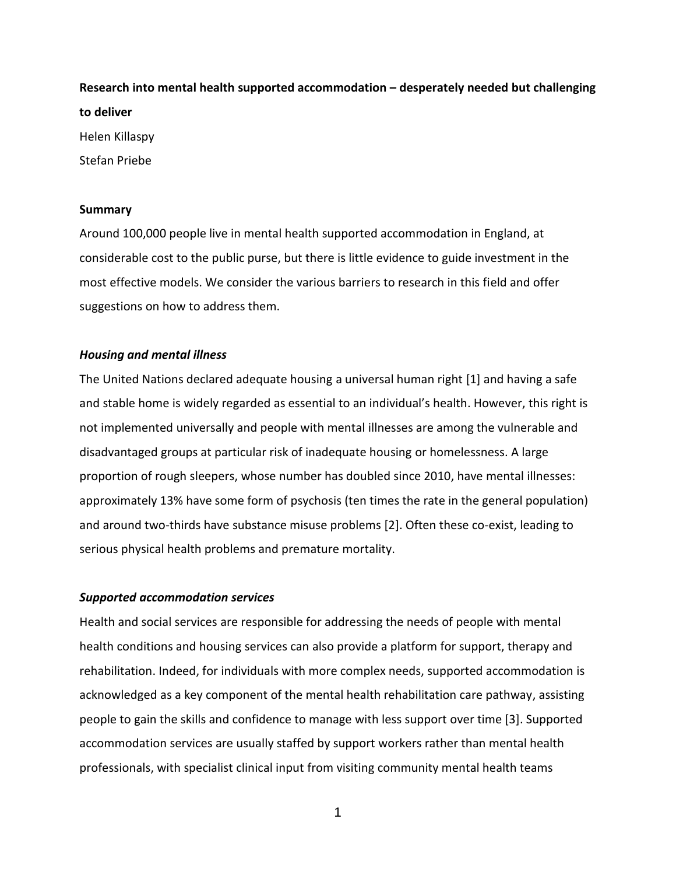**Research into mental health supported accommodation – desperately needed but challenging to deliver** Helen Killaspy Stefan Priebe

#### **Summary**

Around 100,000 people live in mental health supported accommodation in England, at considerable cost to the public purse, but there is little evidence to guide investment in the most effective models. We consider the various barriers to research in this field and offer suggestions on how to address them.

# *Housing and mental illness*

The United Nations declared adequate housing a universal human right [1] and having a safe and stable home is widely regarded as essential to an individual's health. However, this right is not implemented universally and people with mental illnesses are among the vulnerable and disadvantaged groups at particular risk of inadequate housing or homelessness. A large proportion of rough sleepers, whose number has doubled since 2010, have mental illnesses: approximately 13% have some form of psychosis (ten times the rate in the general population) and around two-thirds have substance misuse problems [2]. Often these co-exist, leading to serious physical health problems and premature mortality.

# *Supported accommodation services*

Health and social services are responsible for addressing the needs of people with mental health conditions and housing services can also provide a platform for support, therapy and rehabilitation. Indeed, for individuals with more complex needs, supported accommodation is acknowledged as a key component of the mental health rehabilitation care pathway, assisting people to gain the skills and confidence to manage with less support over time [3]. Supported accommodation services are usually staffed by support workers rather than mental health professionals, with specialist clinical input from visiting community mental health teams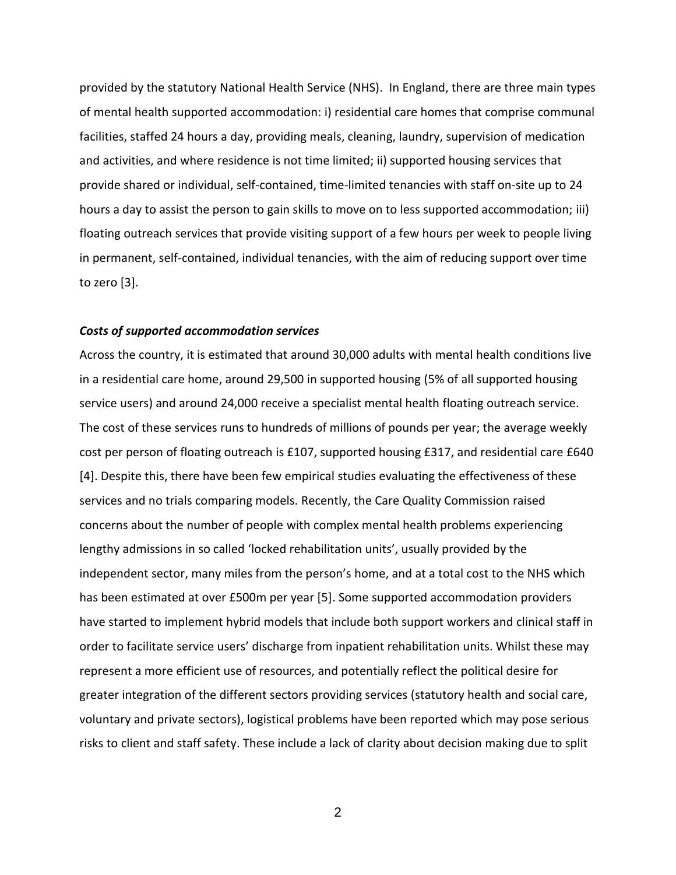provided by the statutory National Health Service (NHS). In England, there are three main types of mental health supported accommodation: i) residential care homes that comprise communal facilities, staffed 24 hours a day, providing meals, cleaning, laundry, supervision of medication and activities, and where residence is not time limited; ii) supported housing services that provide shared or individual, self-contained, time-limited tenancies with staff on-site up to 24 hours a day to assist the person to gain skills to move on to less supported accommodation; iii) floating outreach services that provide visiting support of a few hours per week to people living in permanent, self-contained, individual tenancies, with the aim of reducing support over time to zero [3].

# *Costs of supported accommodation services*

Across the country, it is estimated that around 30,000 adults with mental health conditions live in a residential care home, around 29,500 in supported housing (5% of all supported housing service users) and around 24,000 receive a specialist mental health floating outreach service. The cost of these services runs to hundreds of millions of pounds per year; the average weekly cost per person of floating outreach is £107, supported housing £317, and residential care £640 [4]. Despite this, there have been few empirical studies evaluating the effectiveness of these services and no trials comparing models. Recently, the Care Quality Commission raised concerns about the number of people with complex mental health problems experiencing lengthy admissions in so called 'locked rehabilitation units', usually provided by the independent sector, many miles from the person's home, and at a total cost to the NHS which has been estimated at over £500m per year [5]. Some supported accommodation providers have started to implement hybrid models that include both support workers and clinical staff in order to facilitate service users' discharge from inpatient rehabilitation units. Whilst these may represent a more efficient use of resources, and potentially reflect the political desire for greater integration of the different sectors providing services (statutory health and social care, voluntary and private sectors), logistical problems have been reported which may pose serious risks to client and staff safety. These include a lack of clarity about decision making due to split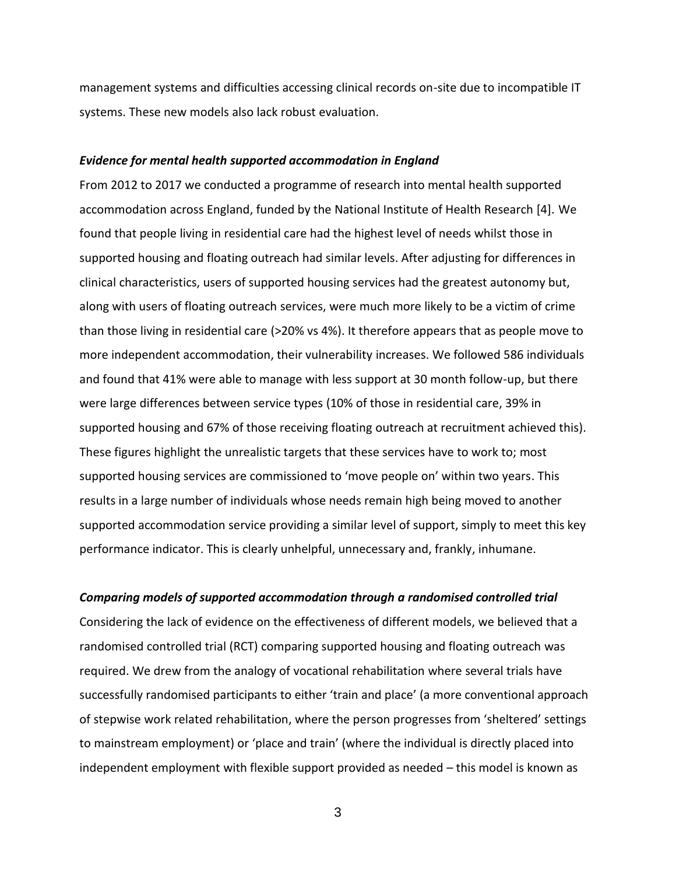management systems and difficulties accessing clinical records on-site due to incompatible IT systems. These new models also lack robust evaluation.

#### *Evidence for mental health supported accommodation in England*

From 2012 to 2017 we conducted a programme of research into mental health supported accommodation across England, funded by the National Institute of Health Research [4]. We found that people living in residential care had the highest level of needs whilst those in supported housing and floating outreach had similar levels. After adjusting for differences in clinical characteristics, users of supported housing services had the greatest autonomy but, along with users of floating outreach services, were much more likely to be a victim of crime than those living in residential care (>20% vs 4%). It therefore appears that as people move to more independent accommodation, their vulnerability increases. We followed 586 individuals and found that 41% were able to manage with less support at 30 month follow-up, but there were large differences between service types (10% of those in residential care, 39% in supported housing and 67% of those receiving floating outreach at recruitment achieved this). These figures highlight the unrealistic targets that these services have to work to; most supported housing services are commissioned to 'move people on' within two years. This results in a large number of individuals whose needs remain high being moved to another supported accommodation service providing a similar level of support, simply to meet this key performance indicator. This is clearly unhelpful, unnecessary and, frankly, inhumane.

# *Comparing models of supported accommodation through a randomised controlled trial*

Considering the lack of evidence on the effectiveness of different models, we believed that a randomised controlled trial (RCT) comparing supported housing and floating outreach was required. We drew from the analogy of vocational rehabilitation where several trials have successfully randomised participants to either 'train and place' (a more conventional approach of stepwise work related rehabilitation, where the person progresses from 'sheltered' settings to mainstream employment) or 'place and train' (where the individual is directly placed into independent employment with flexible support provided as needed – this model is known as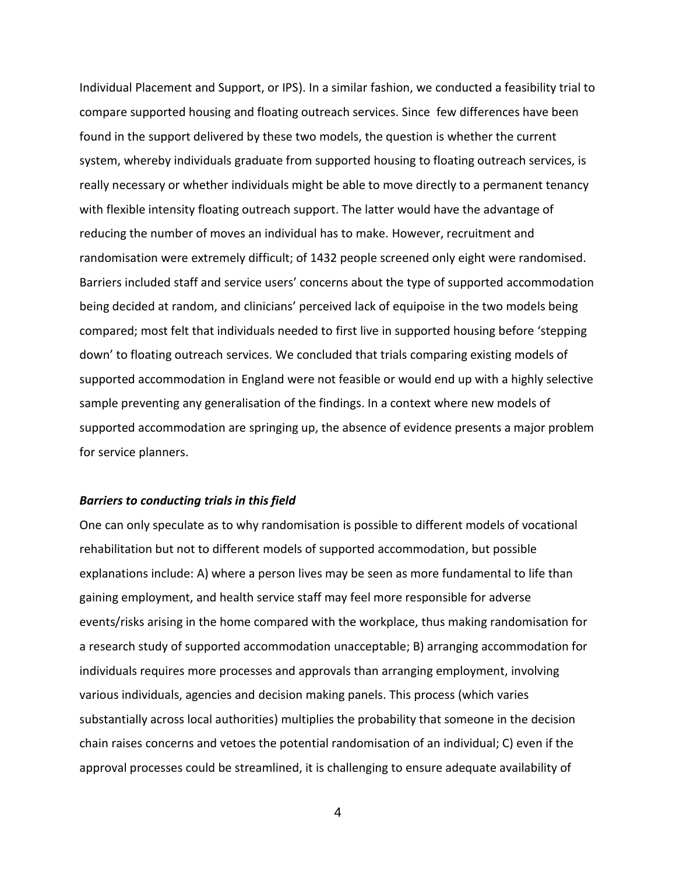Individual Placement and Support, or IPS). In a similar fashion, we conducted a feasibility trial to compare supported housing and floating outreach services. Since few differences have been found in the support delivered by these two models, the question is whether the current system, whereby individuals graduate from supported housing to floating outreach services, is really necessary or whether individuals might be able to move directly to a permanent tenancy with flexible intensity floating outreach support. The latter would have the advantage of reducing the number of moves an individual has to make. However, recruitment and randomisation were extremely difficult; of 1432 people screened only eight were randomised. Barriers included staff and service users' concerns about the type of supported accommodation being decided at random, and clinicians' perceived lack of equipoise in the two models being compared; most felt that individuals needed to first live in supported housing before 'stepping down' to floating outreach services. We concluded that trials comparing existing models of supported accommodation in England were not feasible or would end up with a highly selective sample preventing any generalisation of the findings. In a context where new models of supported accommodation are springing up, the absence of evidence presents a major problem for service planners.

#### *Barriers to conducting trials in this field*

One can only speculate as to why randomisation is possible to different models of vocational rehabilitation but not to different models of supported accommodation, but possible explanations include: A) where a person lives may be seen as more fundamental to life than gaining employment, and health service staff may feel more responsible for adverse events/risks arising in the home compared with the workplace, thus making randomisation for a research study of supported accommodation unacceptable; B) arranging accommodation for individuals requires more processes and approvals than arranging employment, involving various individuals, agencies and decision making panels. This process (which varies substantially across local authorities) multiplies the probability that someone in the decision chain raises concerns and vetoes the potential randomisation of an individual; C) even if the approval processes could be streamlined, it is challenging to ensure adequate availability of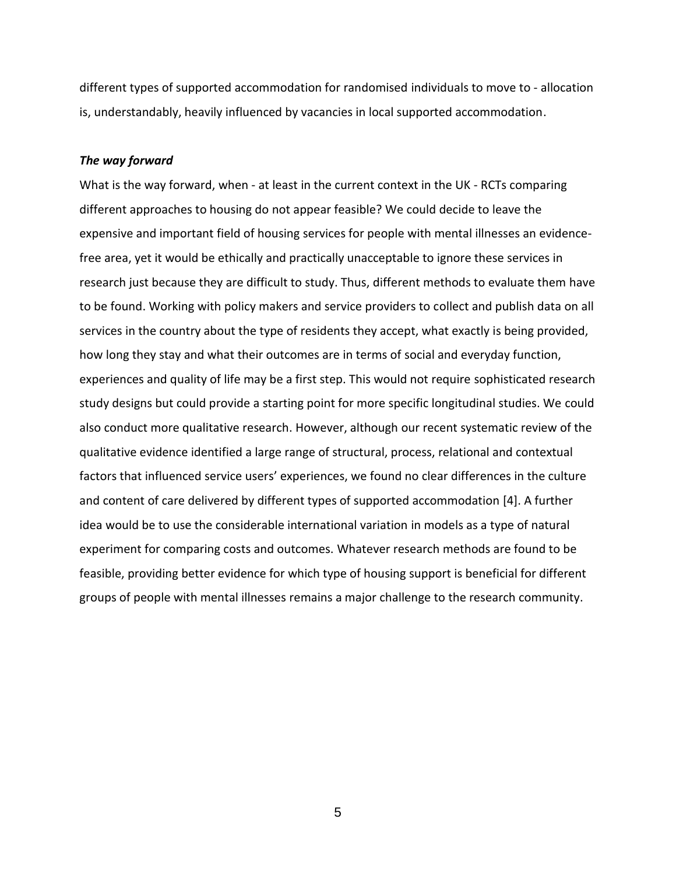different types of supported accommodation for randomised individuals to move to - allocation is, understandably, heavily influenced by vacancies in local supported accommodation.

#### *The way forward*

What is the way forward, when - at least in the current context in the UK - RCTs comparing different approaches to housing do not appear feasible? We could decide to leave the expensive and important field of housing services for people with mental illnesses an evidencefree area, yet it would be ethically and practically unacceptable to ignore these services in research just because they are difficult to study. Thus, different methods to evaluate them have to be found. Working with policy makers and service providers to collect and publish data on all services in the country about the type of residents they accept, what exactly is being provided, how long they stay and what their outcomes are in terms of social and everyday function, experiences and quality of life may be a first step. This would not require sophisticated research study designs but could provide a starting point for more specific longitudinal studies. We could also conduct more qualitative research. However, although our recent systematic review of the qualitative evidence identified a large range of structural, process, relational and contextual factors that influenced service users' experiences, we found no clear differences in the culture and content of care delivered by different types of supported accommodation [4]. A further idea would be to use the considerable international variation in models as a type of natural experiment for comparing costs and outcomes. Whatever research methods are found to be feasible, providing better evidence for which type of housing support is beneficial for different groups of people with mental illnesses remains a major challenge to the research community.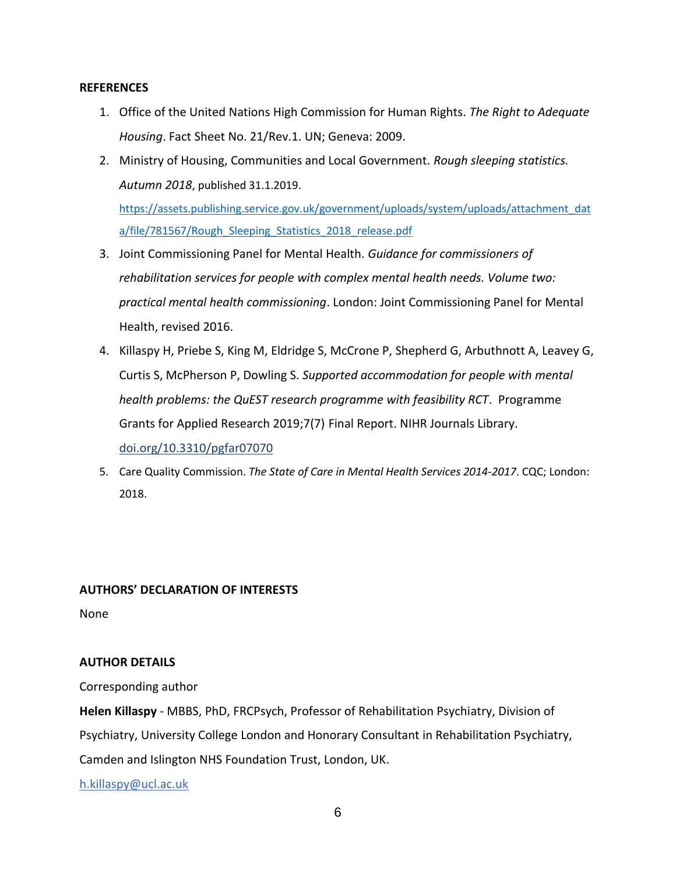# **REFERENCES**

- 1. Office of the United Nations High Commission for Human Rights. *The Right to Adequate Housing*. Fact Sheet No. 21/Rev.1. UN; Geneva: 2009.
- 2. Ministry of Housing, Communities and Local Government. *Rough sleeping statistics. Autumn 2018*, published 31.1.2019.

[https://assets.publishing.service.gov.uk/government/uploads/system/uploads/attachment\\_dat](https://assets.publishing.service.gov.uk/government/uploads/system/uploads/attachment_data/file/781567/Rough_Sleeping_Statistics_2018_release.pdf) [a/file/781567/Rough\\_Sleeping\\_Statistics\\_2018\\_release.pdf](https://assets.publishing.service.gov.uk/government/uploads/system/uploads/attachment_data/file/781567/Rough_Sleeping_Statistics_2018_release.pdf)

- 3. Joint Commissioning Panel for Mental Health. *Guidance for commissioners of rehabilitation services for people with complex mental health needs. Volume two: practical mental health commissioning*. London: Joint Commissioning Panel for Mental Health, revised 2016.
- 4. Killaspy H, Priebe S, King M, Eldridge S, McCrone P, Shepherd G, Arbuthnott A, Leavey G, Curtis S, McPherson P, Dowling S. *Supported accommodation for people with mental health problems: the QuEST research programme with feasibility RCT*. Programme Grants for Applied Research 2019;7(7) Final Report. NIHR Journals Library. [doi.org/10.3310/pgfar07070](https://doi.org/10.3310/pgfar07070)
- 5. Care Quality Commission. *The State of Care in Mental Health Services 2014-2017*. CQC; London: 2018.

# **AUTHORS' DECLARATION OF INTERESTS**

None

# **AUTHOR DETAILS**

Corresponding author

**Helen Killaspy** - MBBS, PhD, FRCPsych, Professor of Rehabilitation Psychiatry, Division of Psychiatry, University College London and Honorary Consultant in Rehabilitation Psychiatry, Camden and Islington NHS Foundation Trust, London, UK.

[h.killaspy@ucl.ac.uk](mailto:h.killaspy@ucl.ac.uk)